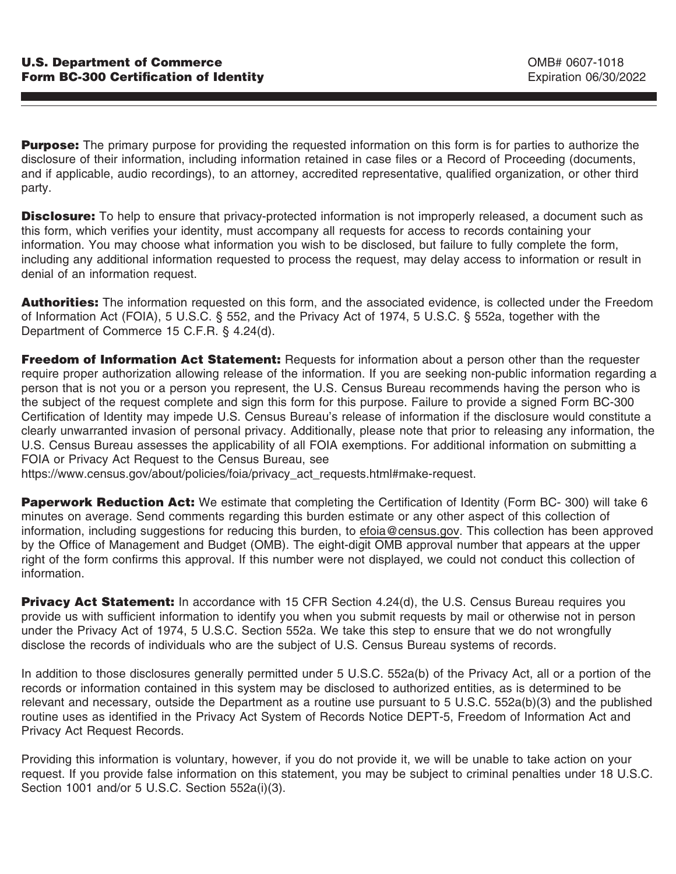**Purpose:** The primary purpose for providing the requested information on this form is for parties to authorize the disclosure of their information, including information retained in case files or a Record of Proceeding (documents, and if applicable, audio recordings), to an attorney, accredited representative, qualified organization, or other third party.

**Disclosure:** To help to ensure that privacy-protected information is not improperly released, a document such as this form, which verifies your identity, must accompany all requests for access to records containing your information. You may choose what information you wish to be disclosed, but failure to fully complete the form, including any additional information requested to process the request, may delay access to information or result in denial of an information request.

**Authorities:** The information requested on this form, and the associated evidence, is collected under the Freedom of Information Act (FOIA), 5 U.S.C. § 552, and the Privacy Act of 1974, 5 U.S.C. § 552a, together with the Department of Commerce 15 C.F.R. § 4.24(d).

**Freedom of Information Act Statement:** Requests for information about a person other than the requester require proper authorization allowing release of the information. If you are seeking non-public information regarding a person that is not you or a person you represent, the U.S. Census Bureau recommends having the person who is the subject of the request complete and sign this form for this purpose. Failure to provide a signed Form BC-300 Certification of Identity may impede U.S. Census Bureau's release of information if the disclosure would constitute a clearly unwarranted invasion of personal privacy. Additionally, please note that prior to releasing any information, the U.S. Census Bureau assesses the applicability of all FOIA exemptions. For additional information on submitting a FOIA or Privacy Act Request to the Census Bureau, see

https://www.census.gov/about/policies/foia/privacy\_act\_requests.html#make-request.

**Paperwork Reduction Act:** We estimate that completing the Certification of Identity (Form BC- 300) will take 6 minutes on average. Send comments regarding this burden estimate or any other aspect of this collection of information, including suggestions for reducing this burden, to efoia@census.gov. This collection has been approved by the Office of Management and Budget (OMB). The eight-digit OMB approval number that appears at the upper right of the form confirms this approval. If this number were not displayed, we could not conduct this collection of information.

**Privacy Act Statement:** In accordance with 15 CFR Section 4.24(d), the U.S. Census Bureau requires you provide us with sufficient information to identify you when you submit requests by mail or otherwise not in person under the Privacy Act of 1974, 5 U.S.C. Section 552a. We take this step to ensure that we do not wrongfully disclose the records of individuals who are the subject of U.S. Census Bureau systems of records.

In addition to those disclosures generally permitted under 5 U.S.C. 552a(b) of the Privacy Act, all or a portion of the records or information contained in this system may be disclosed to authorized entities, as is determined to be relevant and necessary, outside the Department as a routine use pursuant to 5 U.S.C. 552a(b)(3) and the published routine uses as identified in the Privacy Act System of Records Notice DEPT-5, Freedom of Information Act and Privacy Act Request Records.

Providing this information is voluntary, however, if you do not provide it, we will be unable to take action on your request. If you provide false information on this statement, you may be subject to criminal penalties under 18 U.S.C. Section 1001 and/or 5 U.S.C. Section 552a(i)(3).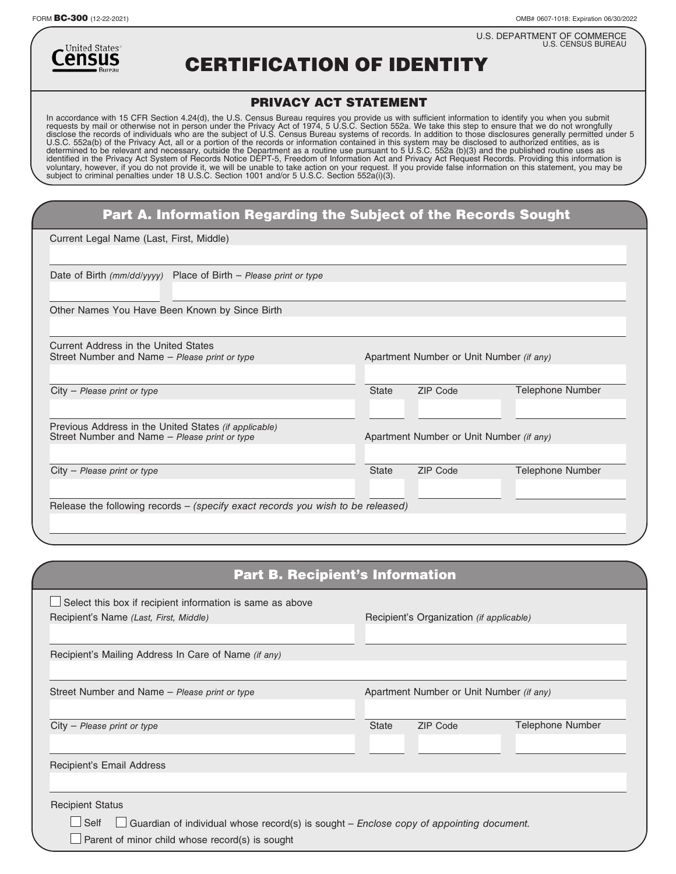FORM BC-300 (12-22-2021) OMB# 0607-1018: Expiration 06/30/2022

U.S. DEPARTMENT OF COMMERCE U.S. CENSUS BUREAU



CERTIFICATION OF IDENTITY

## PRIVACY ACT STATEMENT

In accordance with 15 CFR Section 4.24(d), the U.S. Census Bureau requires you provide us with sufficient information to identify you when you submit<br>requests by mail or otherwise not in person under the Privacy Act of 197

| <b>Part A. Information Regarding the Subject of the Records Sought</b> |
|------------------------------------------------------------------------|
|------------------------------------------------------------------------|

Current Legal Name (Last, First, Middle)

| Place of Birth $-$ Please print or type<br>Date of Birth $\frac{mm}{dd/yyy}$      |              |                                          |                         |
|-----------------------------------------------------------------------------------|--------------|------------------------------------------|-------------------------|
|                                                                                   |              |                                          |                         |
| Other Names You Have Been Known by Since Birth                                    |              |                                          |                         |
|                                                                                   |              |                                          |                         |
| Current Address in the United States                                              |              |                                          |                         |
| Street Number and Name – Please print or type                                     |              | Apartment Number or Unit Number (if any) |                         |
|                                                                                   |              |                                          |                         |
| City - Please print or type                                                       | <b>State</b> | <b>ZIP Code</b>                          | <b>Telephone Number</b> |
|                                                                                   |              |                                          |                         |
| Previous Address in the United States (if applicable)                             |              |                                          |                         |
| Street Number and Name – Please print or type                                     |              | Apartment Number or Unit Number (if any) |                         |
|                                                                                   |              |                                          |                         |
| $City$ – Please print or type                                                     | <b>State</b> | <b>ZIP Code</b>                          | <b>Telephone Number</b> |
|                                                                                   |              |                                          |                         |
| Release the following records $-$ (specify exact records you wish to be released) |              |                                          |                         |
|                                                                                   |              |                                          |                         |
|                                                                                   |              |                                          |                         |

| <b>Part B. Recipient's Information</b>                                                                                                                                               |                                          |                                          |                  |  |
|--------------------------------------------------------------------------------------------------------------------------------------------------------------------------------------|------------------------------------------|------------------------------------------|------------------|--|
| Select this box if recipient information is same as above<br>Recipient's Name (Last, First, Middle)                                                                                  | Recipient's Organization (if applicable) |                                          |                  |  |
| Recipient's Mailing Address In Care of Name (if any)                                                                                                                                 |                                          |                                          |                  |  |
| Street Number and Name – Please print or type                                                                                                                                        |                                          | Apartment Number or Unit Number (if any) |                  |  |
| $City$ – Please print or type                                                                                                                                                        | <b>State</b>                             | <b>ZIP Code</b>                          | Telephone Number |  |
| Recipient's Email Address                                                                                                                                                            |                                          |                                          |                  |  |
| <b>Recipient Status</b><br>Self<br>$\Box$ Guardian of individual whose record(s) is sought – Enclose copy of appointing document.<br>Parent of minor child whose record(s) is sought |                                          |                                          |                  |  |